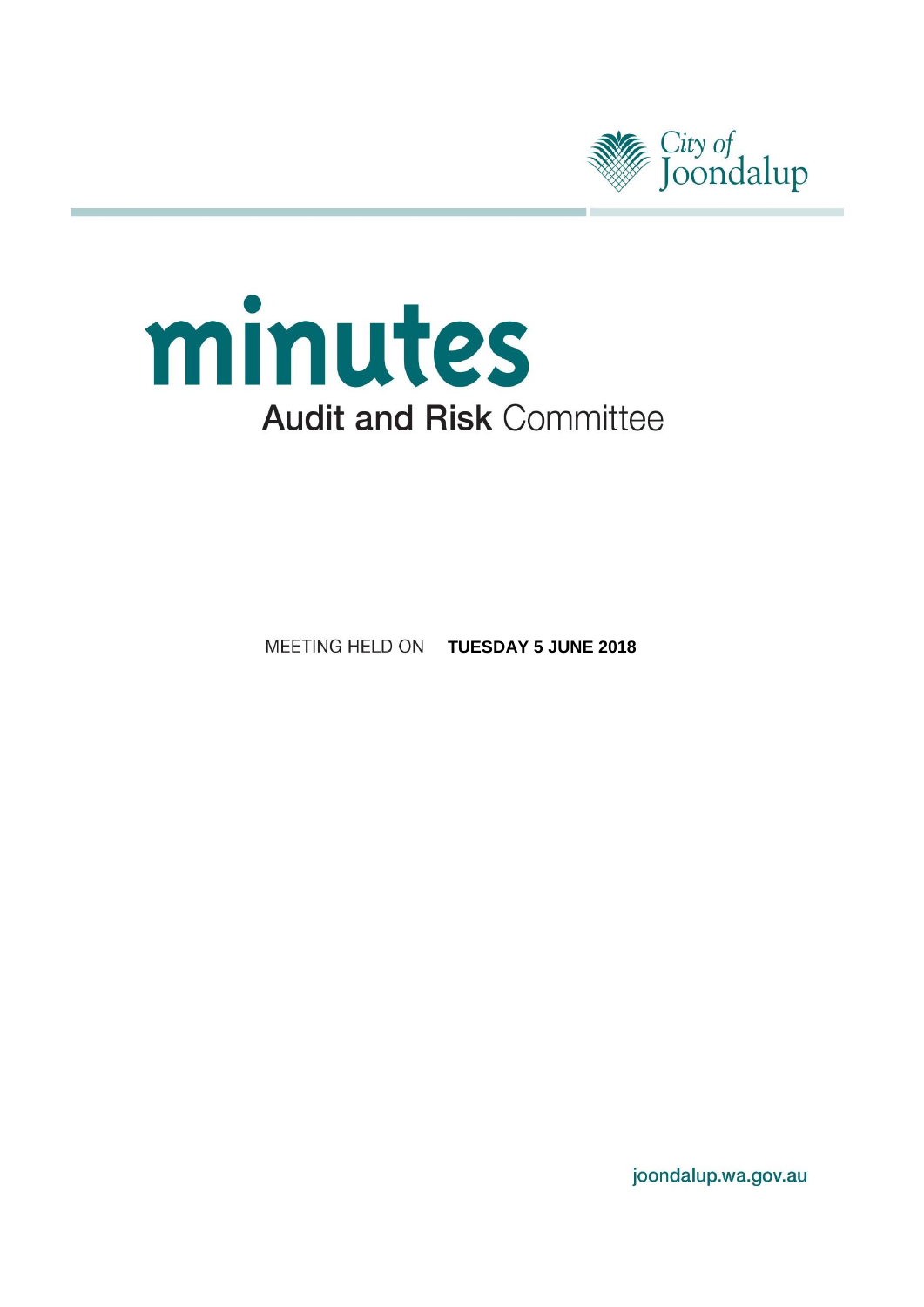



**MEETING HELD ON TUESDAY 5 JUNE 2018** 

joondalup.wa.gov.au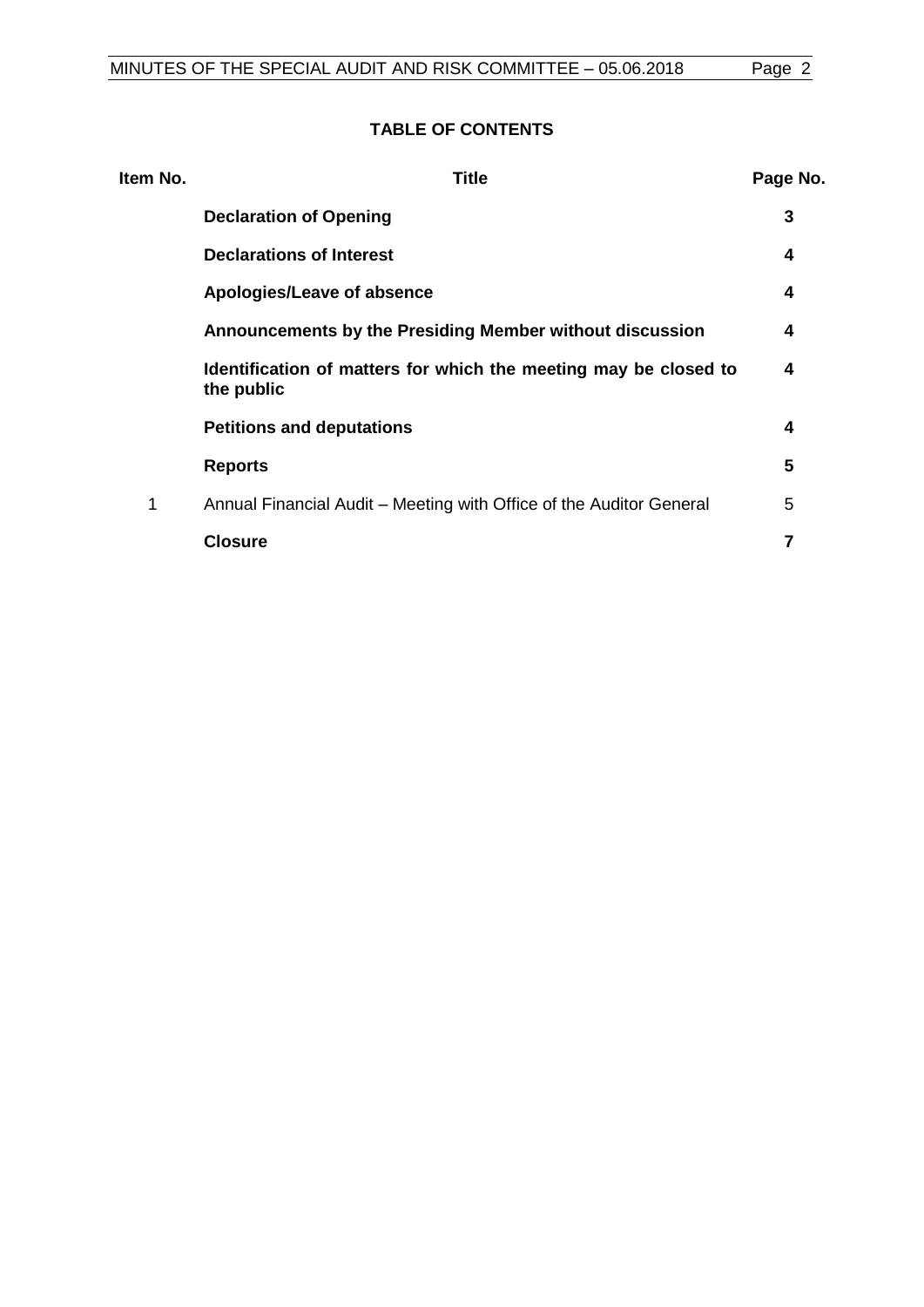# **TABLE OF CONTENTS**

| Item No. | <b>Title</b>                                                                   | Page No. |
|----------|--------------------------------------------------------------------------------|----------|
|          | <b>Declaration of Opening</b>                                                  | 3        |
|          | <b>Declarations of Interest</b>                                                | 4        |
|          | Apologies/Leave of absence                                                     | 4        |
|          | Announcements by the Presiding Member without discussion                       | 4        |
|          | Identification of matters for which the meeting may be closed to<br>the public | 4        |
|          | <b>Petitions and deputations</b>                                               | 4        |
|          | <b>Reports</b>                                                                 | 5        |
| 1        | Annual Financial Audit – Meeting with Office of the Auditor General            | 5        |
|          | <b>Closure</b>                                                                 | 7        |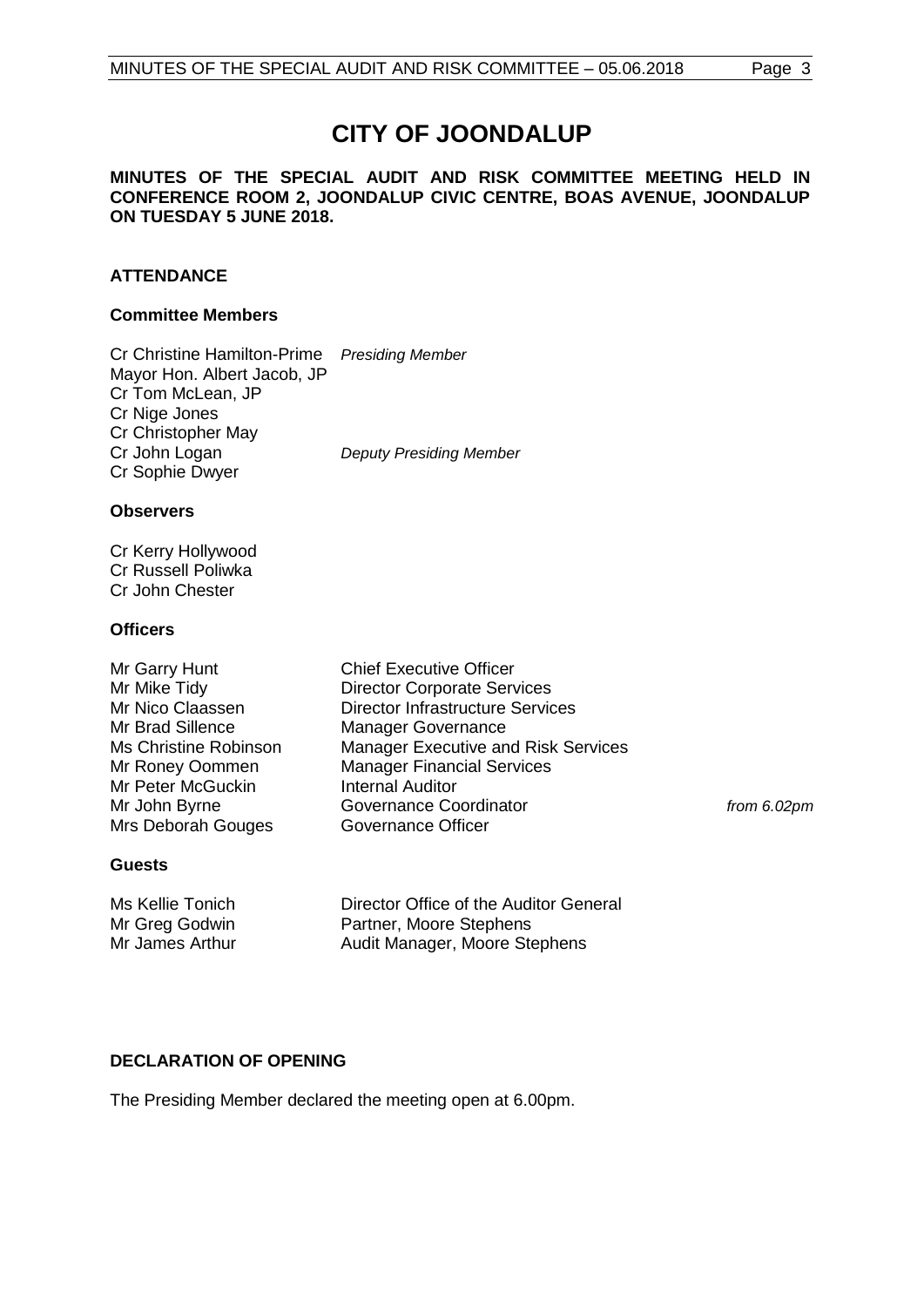# **CITY OF JOONDALUP**

# **MINUTES OF THE SPECIAL AUDIT AND RISK COMMITTEE MEETING HELD IN CONFERENCE ROOM 2, JOONDALUP CIVIC CENTRE, BOAS AVENUE, JOONDALUP ON TUESDAY 5 JUNE 2018.**

# **ATTENDANCE**

# **Committee Members**

Cr Christine Hamilton-Prime *Presiding Member* Mayor Hon. Albert Jacob, JP Cr Tom McLean, JP Cr Nige Jones Cr Christopher May<br>Cr John Logan **Deputy Presiding Member** Cr Sophie Dwyer

## **Observers**

Cr Kerry Hollywood Cr Russell Poliwka Cr John Chester

## **Officers**

| Mr Garry Hunt         | <b>Chief Executive Officer</b>             |
|-----------------------|--------------------------------------------|
| Mr Mike Tidy          | <b>Director Corporate Services</b>         |
| Mr Nico Claassen      | <b>Director Infrastructure Services</b>    |
| Mr Brad Sillence      | <b>Manager Governance</b>                  |
| Ms Christine Robinson | <b>Manager Executive and Risk Services</b> |
| Mr Roney Oommen       | <b>Manager Financial Services</b>          |
| Mr Peter McGuckin     | <b>Internal Auditor</b>                    |
| Mr John Byrne         | Governance Coordinator                     |
| Mrs Deborah Gouges    | <b>Governance Officer</b>                  |
|                       |                                            |

# from 6.02pm

#### **Guests**

Ms Kellie Tonich Director Office of the Auditor General Mr Greg Godwin Partner, Moore Stephens Mr James Arthur Audit Manager, Moore Stephens

# <span id="page-2-0"></span>**DECLARATION OF OPENING**

<span id="page-2-1"></span>The Presiding Member declared the meeting open at 6.00pm.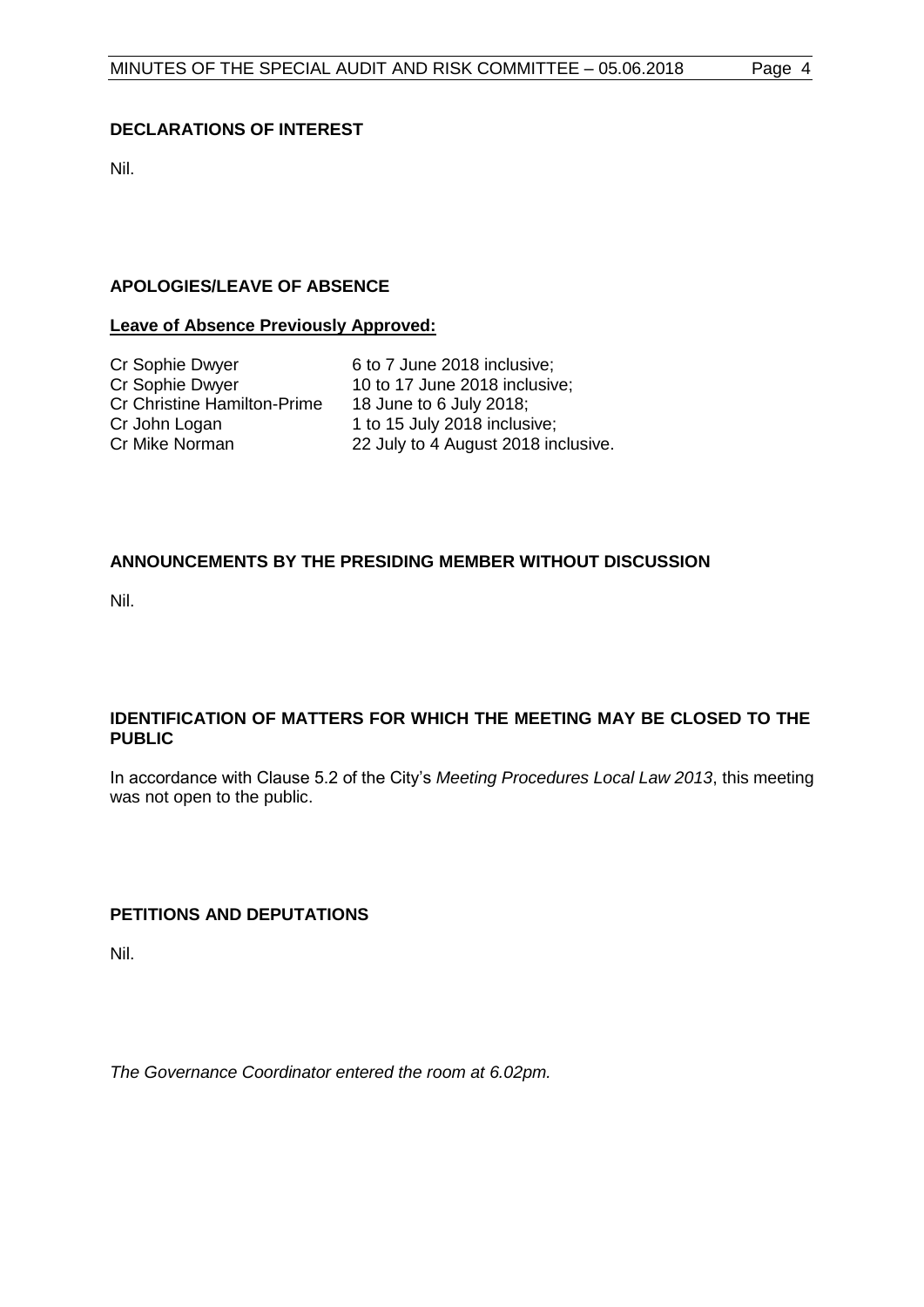# **DECLARATIONS OF INTEREST**

Nil.

# <span id="page-3-0"></span>**APOLOGIES/LEAVE OF ABSENCE**

# **Leave of Absence Previously Approved:**

Cr Sophie Dwyer 6 to 7 June 2018 inclusive;<br>
Cr Sophie Dwyer 10 to 17 June 2018 inclusive Cr Christine Hamilton-Prime 18 June to 6 July 2018;<br>Cr John Logan 1 to 15 July 2018 inclusi Cr John Logan 1 to 15 July 2018 inclusive;<br>
Cr Mike Norman 22 July to 4 August 2018 inc

10 to 17 June 2018 inclusive; 22 July to 4 August 2018 inclusive.

# <span id="page-3-1"></span>**ANNOUNCEMENTS BY THE PRESIDING MEMBER WITHOUT DISCUSSION**

Nil.

# <span id="page-3-2"></span>**IDENTIFICATION OF MATTERS FOR WHICH THE MEETING MAY BE CLOSED TO THE PUBLIC**

In accordance with Clause 5.2 of the City's *Meeting Procedures Local Law 2013*, this meeting was not open to the public.

# <span id="page-3-3"></span>**PETITIONS AND DEPUTATIONS**

Nil.

*The Governance Coordinator entered the room at 6.02pm.*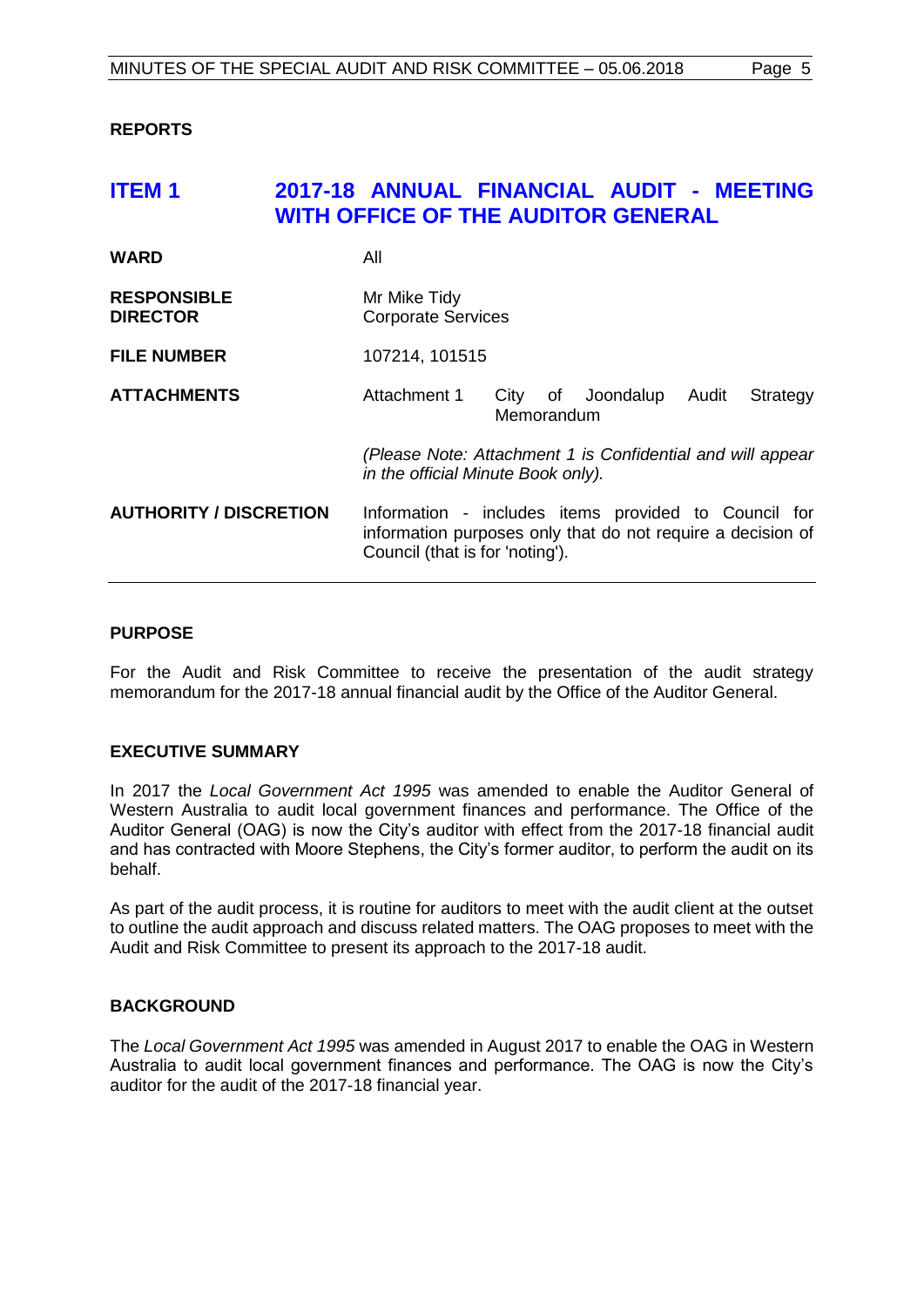#### <span id="page-4-0"></span>**REPORTS**

# <span id="page-4-1"></span>**ITEM 1 2017-18 ANNUAL FINANCIAL AUDIT - MEETING WITH OFFICE OF THE AUDITOR GENERAL**

| <b>WARD</b>                           | All                                                                                                                                                    |  |  |
|---------------------------------------|--------------------------------------------------------------------------------------------------------------------------------------------------------|--|--|
| <b>RESPONSIBLE</b><br><b>DIRECTOR</b> | Mr Mike Tidy<br><b>Corporate Services</b>                                                                                                              |  |  |
| <b>FILE NUMBER</b>                    | 107214, 101515                                                                                                                                         |  |  |
| <b>ATTACHMENTS</b>                    | Attachment 1<br>City of Joondalup<br>Strategy<br>Audit<br>Memorandum                                                                                   |  |  |
|                                       | (Please Note: Attachment 1 is Confidential and will appear<br>in the official Minute Book only).                                                       |  |  |
| <b>AUTHORITY / DISCRETION</b>         | Information - includes items provided to Council for<br>information purposes only that do not require a decision of<br>Council (that is for 'noting'). |  |  |

#### **PURPOSE**

For the Audit and Risk Committee to receive the presentation of the audit strategy memorandum for the 2017-18 annual financial audit by the Office of the Auditor General.

#### **EXECUTIVE SUMMARY**

In 2017 the *Local Government Act 1995* was amended to enable the Auditor General of Western Australia to audit local government finances and performance. The Office of the Auditor General (OAG) is now the City's auditor with effect from the 2017-18 financial audit and has contracted with Moore Stephens, the City's former auditor, to perform the audit on its behalf.

As part of the audit process, it is routine for auditors to meet with the audit client at the outset to outline the audit approach and discuss related matters. The OAG proposes to meet with the Audit and Risk Committee to present its approach to the 2017-18 audit.

# **BACKGROUND**

The *Local Government Act 1995* was amended in August 2017 to enable the OAG in Western Australia to audit local government finances and performance. The OAG is now the City's auditor for the audit of the 2017-18 financial year.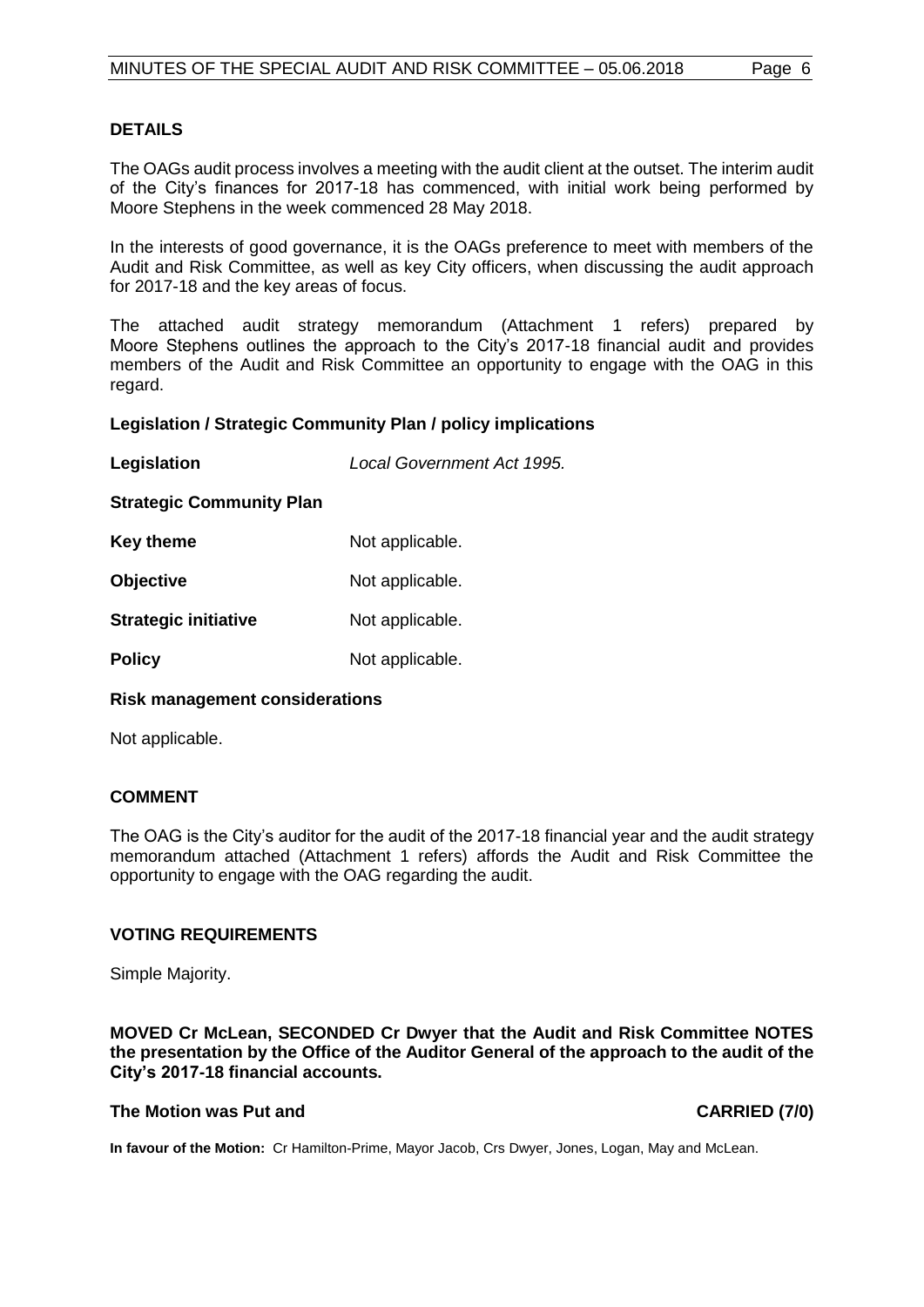## **DETAILS**

The OAGs audit process involves a meeting with the audit client at the outset. The interim audit of the City's finances for 2017-18 has commenced, with initial work being performed by Moore Stephens in the week commenced 28 May 2018.

In the interests of good governance, it is the OAGs preference to meet with members of the Audit and Risk Committee, as well as key City officers, when discussing the audit approach for 2017-18 and the key areas of focus.

The attached audit strategy memorandum (Attachment 1 refers) prepared by Moore Stephens outlines the approach to the City's 2017-18 financial audit and provides members of the Audit and Risk Committee an opportunity to engage with the OAG in this regard.

## **Legislation / Strategic Community Plan / policy implications**

**Legislation** *Local Government Act 1995.*

**Strategic Community Plan**

| <b>Key theme</b>            | Not applicable. |  |
|-----------------------------|-----------------|--|
| <b>Objective</b>            | Not applicable. |  |
| <b>Strategic initiative</b> | Not applicable. |  |
| <b>Policy</b>               | Not applicable. |  |

#### **Risk management considerations**

Not applicable.

# **COMMENT**

The OAG is the City's auditor for the audit of the 2017-18 financial year and the audit strategy memorandum attached (Attachment 1 refers) affords the Audit and Risk Committee the opportunity to engage with the OAG regarding the audit.

## **VOTING REQUIREMENTS**

Simple Majority.

**MOVED Cr McLean, SECONDED Cr Dwyer that the Audit and Risk Committee NOTES the presentation by the Office of the Auditor General of the approach to the audit of the City's 2017-18 financial accounts.** 

#### The Motion was Put and **CARRIED** (7/0)

**In favour of the Motion:** Cr Hamilton-Prime, Mayor Jacob, Crs Dwyer, Jones, Logan, May and McLean.